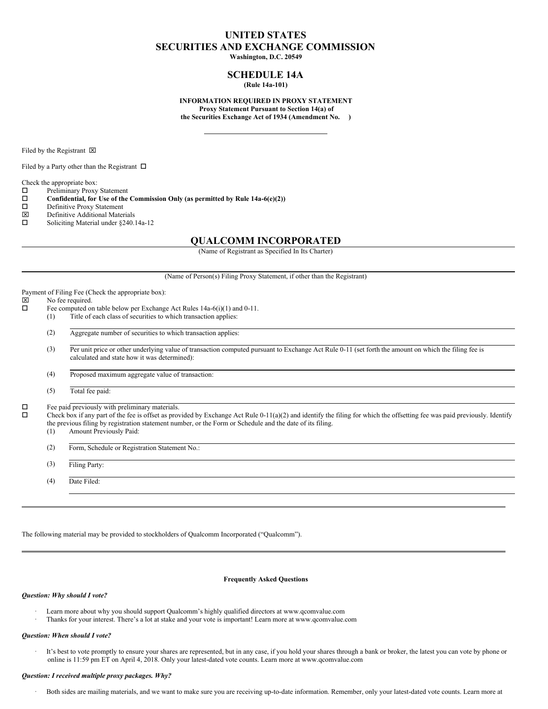## **UNITED STATES SECURITIES AND EXCHANGE COMMISSION Washington, D.C. 20549**

# **SCHEDULE 14A**

**(Rule 14a-101)**

#### **INFORMATION REQUIRED IN PROXY STATEMENT Proxy Statement Pursuant to Section 14(a) of the Securities Exchange Act of 1934 (Amendment No. )**

Filed by the Registrant  $\boxtimes$ 

Filed by a Party other than the Registrant  $\Box$ 

Check the appropriate box:

o Preliminary Proxy Statement

o **Confidential, for Use of the Commission Only (as permitted by Rule 14a-6(e)(2))**

- D Definitive Proxy Statement
- x Definitive Additional Materials
- $\square$  Soliciting Material under §240.14a-12

### **QUALCOMM INCORPORATED**

(Name of Registrant as Specified In Its Charter)

(Name of Person(s) Filing Proxy Statement, if other than the Registrant)

#### Payment of Filing Fee (Check the appropriate box):

# $\overline{\boxtimes}$  No fee required.<br> $\overline{\square}$  Fee computed or

- Fee computed on table below per Exchange Act Rules 14a-6(i)(1) and 0-11.
- (1) Title of each class of securities to which transaction applies:
- (2) Aggregate number of securities to which transaction applies:
- (3) Per unit price or other underlying value of transaction computed pursuant to Exchange Act Rule 0-11 (set forth the amount on which the filing fee is calculated and state how it was determined):

(4) Proposed maximum aggregate value of transaction:

(5) Total fee paid:

 $\square$  Fee paid previously with preliminary materials.<br> $\square$  Check box if any part of the fee is offset as pro-

o Check box if any part of the fee is offset as provided by Exchange Act Rule 0-11(a)(2) and identify the filing for which the offsetting fee was paid previously. Identify the previous filing by registration statement number, or the Form or Schedule and the date of its filing.

(1) Amount Previously Paid:

(2) Form, Schedule or Registration Statement No.:

(3) Filing Party:

(4) Date Filed:

The following material may be provided to stockholders of Qualcomm Incorporated ("Qualcomm").

#### **Frequently Asked Questions**

#### *Question: Why should I vote?*

- Learn more about why you should support Qualcomm's highly qualified directors at www.qcomvalue.com
- · Thanks for your interest. There's a lot at stake and your vote is important! Learn more at www.qcomvalue.com

#### *Question: When should I vote?*

· It's best to vote promptly to ensure your shares are represented, but in any case, if you hold your shares through a bank or broker, the latest you can vote by phone or online is 11:59 pm ET on April 4, 2018. Only your latest-dated vote counts. Learn more at www.qcomvalue.com

#### *Question: I received multiple proxy packages. Why?*

Both sides are mailing materials, and we want to make sure you are receiving up-to-date information. Remember, only your latest-dated vote counts. Learn more at